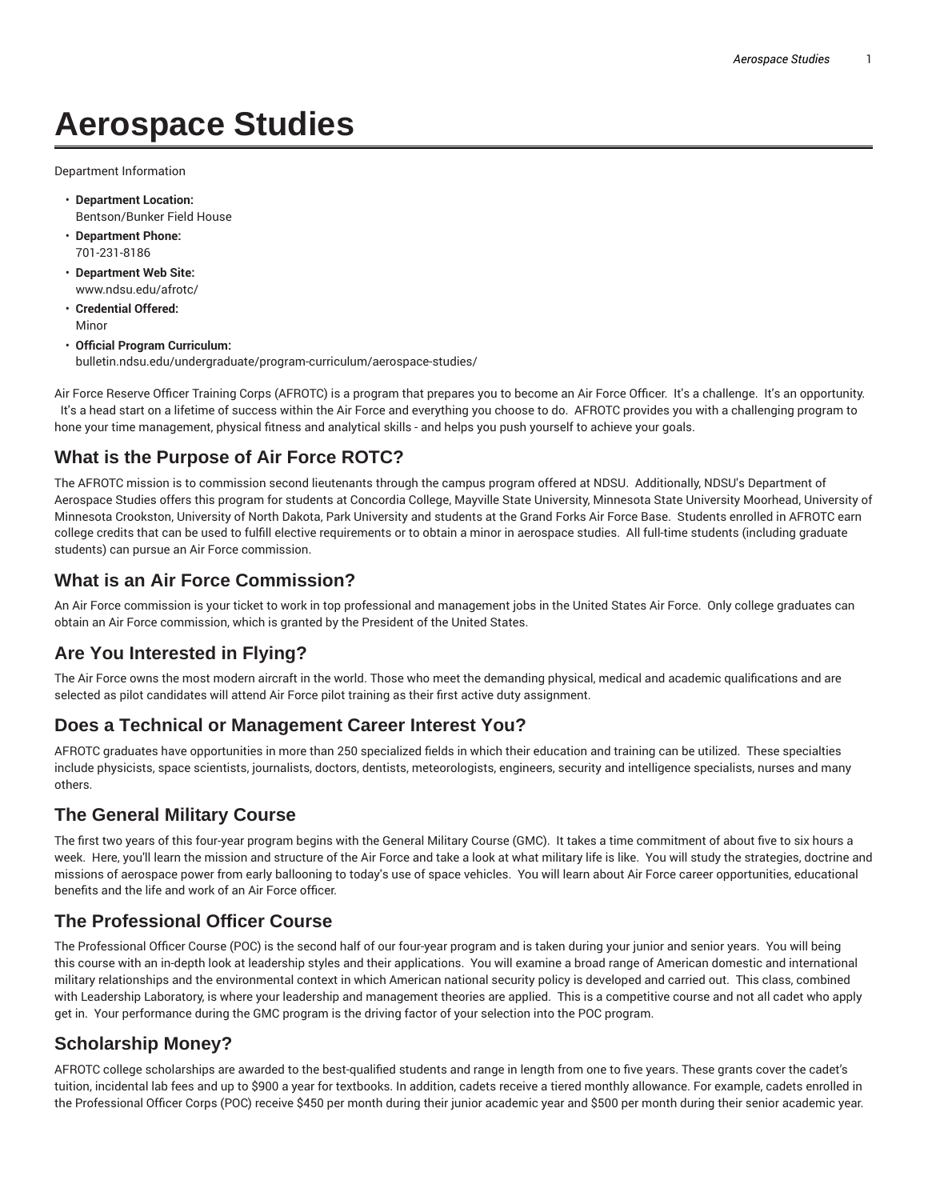# **Aerospace Studies**

Department Information

- **Department Location:** Bentson/Bunker Field House
- **Department Phone:** 701-231-8186
- **Department Web Site:** www.ndsu.edu/afrotc/
- **Credential Offered:** Minor
- **Official Program Curriculum:** bulletin.ndsu.edu/undergraduate/program-curriculum/aerospace-studies/

Air Force Reserve Officer Training Corps (AFROTC) is a program that prepares you to become an Air Force Officer. It's a challenge. It's an opportunity. It's a head start on a lifetime of success within the Air Force and everything you choose to do. AFROTC provides you with a challenging program to hone your time management, physical fitness and analytical skills - and helps you push yourself to achieve your goals.

## **What is the Purpose of Air Force ROTC?**

The AFROTC mission is to commission second lieutenants through the campus program offered at NDSU. Additionally, NDSU's Department of Aerospace Studies offers this program for students at Concordia College, Mayville State University, Minnesota State University Moorhead, University of Minnesota Crookston, University of North Dakota, Park University and students at the Grand Forks Air Force Base. Students enrolled in AFROTC earn college credits that can be used to fulfill elective requirements or to obtain a minor in aerospace studies. All full-time students (including graduate students) can pursue an Air Force commission.

### **What is an Air Force Commission?**

An Air Force commission is your ticket to work in top professional and management jobs in the United States Air Force. Only college graduates can obtain an Air Force commission, which is granted by the President of the United States.

### **Are You Interested in Flying?**

The Air Force owns the most modern aircraft in the world. Those who meet the demanding physical, medical and academic qualifications and are selected as pilot candidates will attend Air Force pilot training as their first active duty assignment.

### **Does a Technical or Management Career Interest You?**

AFROTC graduates have opportunities in more than 250 specialized fields in which their education and training can be utilized. These specialties include physicists, space scientists, journalists, doctors, dentists, meteorologists, engineers, security and intelligence specialists, nurses and many others.

### **The General Military Course**

The first two years of this four-year program begins with the General Military Course (GMC). It takes a time commitment of about five to six hours a week. Here, you'll learn the mission and structure of the Air Force and take a look at what military life is like. You will study the strategies, doctrine and missions of aerospace power from early ballooning to today's use of space vehicles. You will learn about Air Force career opportunities, educational benefits and the life and work of an Air Force officer.

### **The Professional Officer Course**

The Professional Officer Course (POC) is the second half of our four-year program and is taken during your junior and senior years. You will being this course with an in-depth look at leadership styles and their applications. You will examine a broad range of American domestic and international military relationships and the environmental context in which American national security policy is developed and carried out. This class, combined with Leadership Laboratory, is where your leadership and management theories are applied. This is a competitive course and not all cadet who apply get in. Your performance during the GMC program is the driving factor of your selection into the POC program.

## **Scholarship Money?**

AFROTC college scholarships are awarded to the best-qualified students and range in length from one to five years. These grants cover the cadet's tuition, incidental lab fees and up to \$900 a year for textbooks. In addition, cadets receive a tiered monthly allowance. For example, cadets enrolled in the Professional Officer Corps (POC) receive \$450 per month during their junior academic year and \$500 per month during their senior academic year.